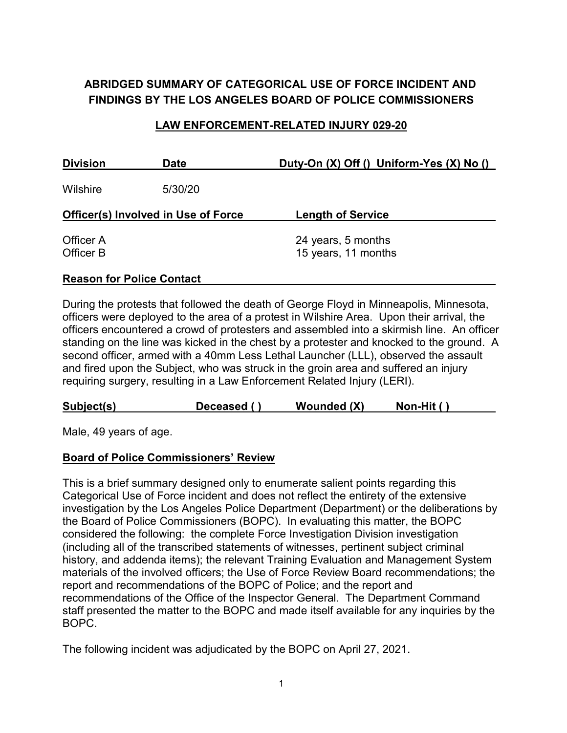# **ABRIDGED SUMMARY OF CATEGORICAL USE OF FORCE INCIDENT AND FINDINGS BY THE LOS ANGELES BOARD OF POLICE COMMISSIONERS**

## **LAW ENFORCEMENT-RELATED INJURY 029-20**

| <b>Division</b>                            | <b>Date</b> | Duty-On (X) Off () Uniform-Yes (X) No ()  |
|--------------------------------------------|-------------|-------------------------------------------|
| Wilshire                                   | 5/30/20     |                                           |
| <b>Officer(s) Involved in Use of Force</b> |             | <b>Length of Service</b>                  |
| Officer A<br>Officer B                     |             | 24 years, 5 months<br>15 years, 11 months |

## **Reason for Police Contact**

During the protests that followed the death of George Floyd in Minneapolis, Minnesota, officers were deployed to the area of a protest in Wilshire Area. Upon their arrival, the officers encountered a crowd of protesters and assembled into a skirmish line. An officer standing on the line was kicked in the chest by a protester and knocked to the ground. A second officer, armed with a 40mm Less Lethal Launcher (LLL), observed the assault and fired upon the Subject, who was struck in the groin area and suffered an injury requiring surgery, resulting in a Law Enforcement Related Injury (LERI).

| Subject(s) | Deceased $\prime$ | Wounded (X) | Non-Hit ( |
|------------|-------------------|-------------|-----------|
|            |                   |             |           |

Male, 49 years of age.

### **Board of Police Commissioners' Review**

This is a brief summary designed only to enumerate salient points regarding this Categorical Use of Force incident and does not reflect the entirety of the extensive investigation by the Los Angeles Police Department (Department) or the deliberations by the Board of Police Commissioners (BOPC). In evaluating this matter, the BOPC considered the following: the complete Force Investigation Division investigation (including all of the transcribed statements of witnesses, pertinent subject criminal history, and addenda items); the relevant Training Evaluation and Management System materials of the involved officers; the Use of Force Review Board recommendations; the report and recommendations of the BOPC of Police; and the report and recommendations of the Office of the Inspector General. The Department Command staff presented the matter to the BOPC and made itself available for any inquiries by the BOPC.

The following incident was adjudicated by the BOPC on April 27, 2021.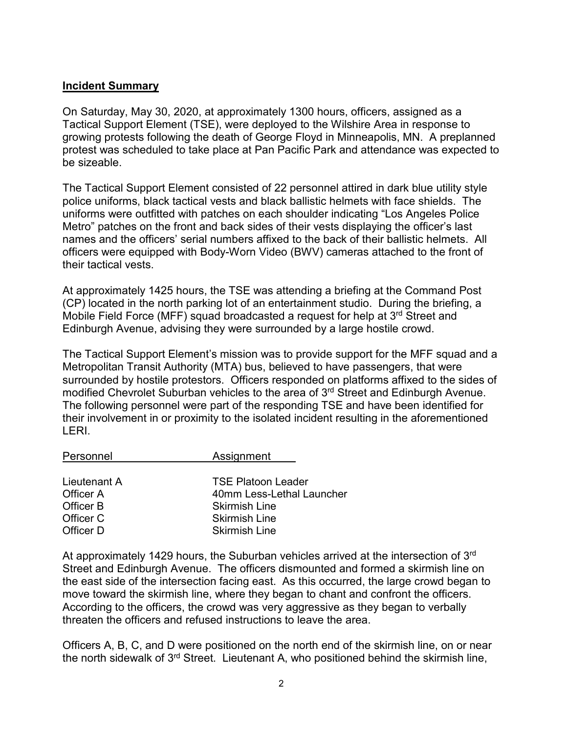## **Incident Summary**

On Saturday, May 30, 2020, at approximately 1300 hours, officers, assigned as a Tactical Support Element (TSE), were deployed to the Wilshire Area in response to growing protests following the death of George Floyd in Minneapolis, MN. A preplanned protest was scheduled to take place at Pan Pacific Park and attendance was expected to be sizeable.

The Tactical Support Element consisted of 22 personnel attired in dark blue utility style police uniforms, black tactical vests and black ballistic helmets with face shields. The uniforms were outfitted with patches on each shoulder indicating "Los Angeles Police Metro" patches on the front and back sides of their vests displaying the officer's last names and the officers' serial numbers affixed to the back of their ballistic helmets. All officers were equipped with Body-Worn Video (BWV) cameras attached to the front of their tactical vests.

At approximately 1425 hours, the TSE was attending a briefing at the Command Post (CP) located in the north parking lot of an entertainment studio. During the briefing, a Mobile Field Force (MFF) squad broadcasted a request for help at 3<sup>rd</sup> Street and Edinburgh Avenue, advising they were surrounded by a large hostile crowd.

The Tactical Support Element's mission was to provide support for the MFF squad and a Metropolitan Transit Authority (MTA) bus, believed to have passengers, that were surrounded by hostile protestors. Officers responded on platforms affixed to the sides of modified Chevrolet Suburban vehicles to the area of 3<sup>rd</sup> Street and Edinburgh Avenue. The following personnel were part of the responding TSE and have been identified for their involvement in or proximity to the isolated incident resulting in the aforementioned LERI.

| Personnel    | Assignment                |
|--------------|---------------------------|
|              |                           |
| Lieutenant A | <b>TSE Platoon Leader</b> |
| Officer A    | 40mm Less-Lethal Launcher |
| Officer B    | <b>Skirmish Line</b>      |
| Officer C    | <b>Skirmish Line</b>      |
| Officer D    | <b>Skirmish Line</b>      |

At approximately 1429 hours, the Suburban vehicles arrived at the intersection of 3<sup>rd</sup> Street and Edinburgh Avenue. The officers dismounted and formed a skirmish line on the east side of the intersection facing east. As this occurred, the large crowd began to move toward the skirmish line, where they began to chant and confront the officers. According to the officers, the crowd was very aggressive as they began to verbally threaten the officers and refused instructions to leave the area.

Officers A, B, C, and D were positioned on the north end of the skirmish line, on or near the north sidewalk of 3<sup>rd</sup> Street. Lieutenant A, who positioned behind the skirmish line,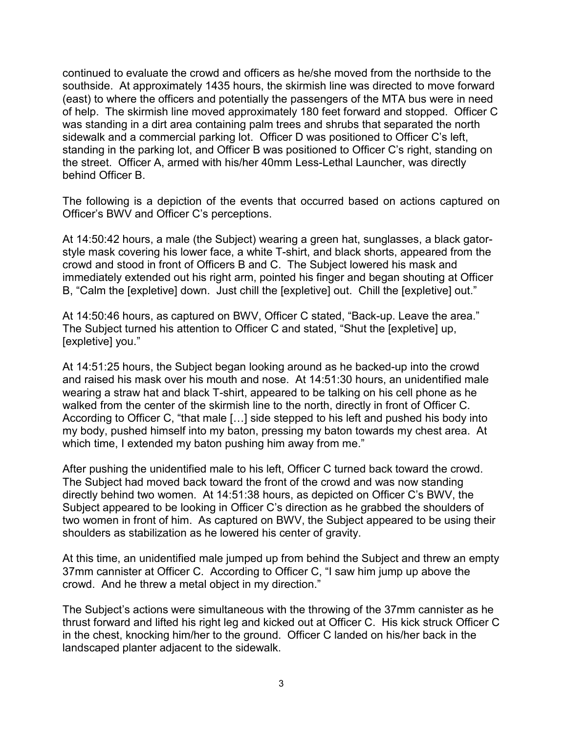continued to evaluate the crowd and officers as he/she moved from the northside to the southside. At approximately 1435 hours, the skirmish line was directed to move forward (east) to where the officers and potentially the passengers of the MTA bus were in need of help. The skirmish line moved approximately 180 feet forward and stopped. Officer C was standing in a dirt area containing palm trees and shrubs that separated the north sidewalk and a commercial parking lot. Officer D was positioned to Officer C's left, standing in the parking lot, and Officer B was positioned to Officer C's right, standing on the street. Officer A, armed with his/her 40mm Less-Lethal Launcher, was directly behind Officer B.

The following is a depiction of the events that occurred based on actions captured on Officer's BWV and Officer C's perceptions.

At 14:50:42 hours, a male (the Subject) wearing a green hat, sunglasses, a black gatorstyle mask covering his lower face, a white T-shirt, and black shorts, appeared from the crowd and stood in front of Officers B and C. The Subject lowered his mask and immediately extended out his right arm, pointed his finger and began shouting at Officer B, "Calm the [expletive] down. Just chill the [expletive] out. Chill the [expletive] out."

At 14:50:46 hours, as captured on BWV, Officer C stated, "Back-up. Leave the area." The Subject turned his attention to Officer C and stated, "Shut the [expletive] up, [expletive] you."

At 14:51:25 hours, the Subject began looking around as he backed-up into the crowd and raised his mask over his mouth and nose. At 14:51:30 hours, an unidentified male wearing a straw hat and black T-shirt, appeared to be talking on his cell phone as he walked from the center of the skirmish line to the north, directly in front of Officer C. According to Officer C, "that male […] side stepped to his left and pushed his body into my body, pushed himself into my baton, pressing my baton towards my chest area. At which time, I extended my baton pushing him away from me."

After pushing the unidentified male to his left, Officer C turned back toward the crowd. The Subject had moved back toward the front of the crowd and was now standing directly behind two women. At 14:51:38 hours, as depicted on Officer C's BWV, the Subject appeared to be looking in Officer C's direction as he grabbed the shoulders of two women in front of him. As captured on BWV, the Subject appeared to be using their shoulders as stabilization as he lowered his center of gravity.

At this time, an unidentified male jumped up from behind the Subject and threw an empty 37mm cannister at Officer C. According to Officer C, "I saw him jump up above the crowd. And he threw a metal object in my direction."

The Subject's actions were simultaneous with the throwing of the 37mm cannister as he thrust forward and lifted his right leg and kicked out at Officer C. His kick struck Officer C in the chest, knocking him/her to the ground. Officer C landed on his/her back in the landscaped planter adjacent to the sidewalk.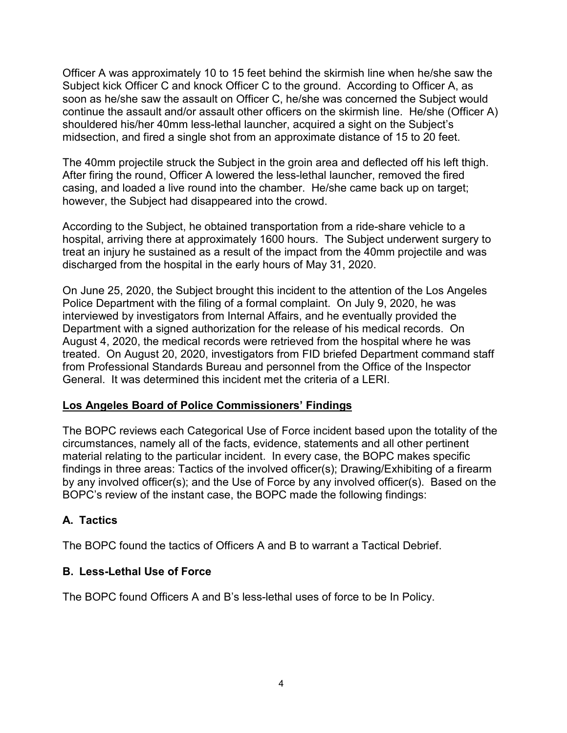Officer A was approximately 10 to 15 feet behind the skirmish line when he/she saw the Subject kick Officer C and knock Officer C to the ground. According to Officer A, as soon as he/she saw the assault on Officer C, he/she was concerned the Subject would continue the assault and/or assault other officers on the skirmish line. He/she (Officer A) shouldered his/her 40mm less-lethal launcher, acquired a sight on the Subject's midsection, and fired a single shot from an approximate distance of 15 to 20 feet.

The 40mm projectile struck the Subject in the groin area and deflected off his left thigh. After firing the round, Officer A lowered the less-lethal launcher, removed the fired casing, and loaded a live round into the chamber. He/she came back up on target; however, the Subject had disappeared into the crowd.

According to the Subject, he obtained transportation from a ride-share vehicle to a hospital, arriving there at approximately 1600 hours. The Subject underwent surgery to treat an injury he sustained as a result of the impact from the 40mm projectile and was discharged from the hospital in the early hours of May 31, 2020.

On June 25, 2020, the Subject brought this incident to the attention of the Los Angeles Police Department with the filing of a formal complaint. On July 9, 2020, he was interviewed by investigators from Internal Affairs, and he eventually provided the Department with a signed authorization for the release of his medical records. On August 4, 2020, the medical records were retrieved from the hospital where he was treated. On August 20, 2020, investigators from FID briefed Department command staff from Professional Standards Bureau and personnel from the Office of the Inspector General. It was determined this incident met the criteria of a LERI.

### **Los Angeles Board of Police Commissioners' Findings**

The BOPC reviews each Categorical Use of Force incident based upon the totality of the circumstances, namely all of the facts, evidence, statements and all other pertinent material relating to the particular incident. In every case, the BOPC makes specific findings in three areas: Tactics of the involved officer(s); Drawing/Exhibiting of a firearm by any involved officer(s); and the Use of Force by any involved officer(s). Based on the BOPC's review of the instant case, the BOPC made the following findings:

# **A. Tactics**

The BOPC found the tactics of Officers A and B to warrant a Tactical Debrief.

# **B. Less-Lethal Use of Force**

The BOPC found Officers A and B's less-lethal uses of force to be In Policy.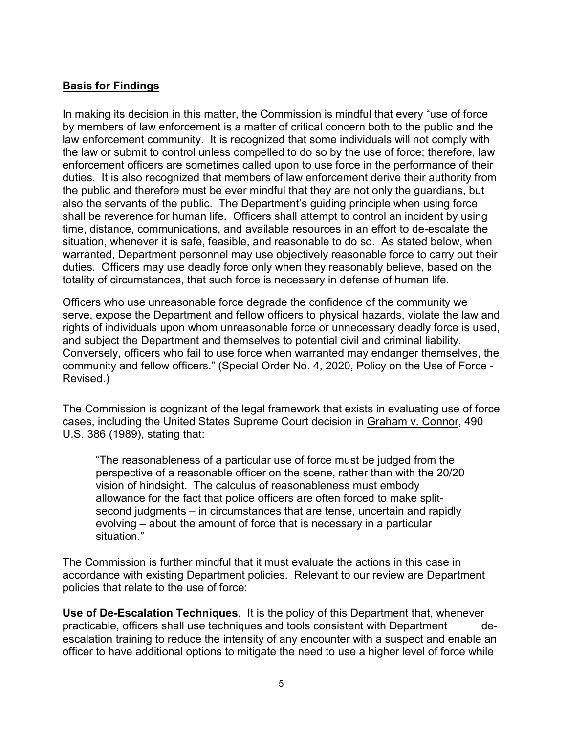## **Basis for Findings**

In making its decision in this matter, the Commission is mindful that every "use of force by members of law enforcement is a matter of critical concern both to the public and the law enforcement community. It is recognized that some individuals will not comply with the law or submit to control unless compelled to do so by the use of force; therefore, law enforcement officers are sometimes called upon to use force in the performance of their duties. It is also recognized that members of law enforcement derive their authority from the public and therefore must be ever mindful that they are not only the guardians, but also the servants of the public. The Department's guiding principle when using force shall be reverence for human life. Officers shall attempt to control an incident by using time, distance, communications, and available resources in an effort to de-escalate the situation, whenever it is safe, feasible, and reasonable to do so. As stated below, when warranted, Department personnel may use objectively reasonable force to carry out their duties. Officers may use deadly force only when they reasonably believe, based on the totality of circumstances, that such force is necessary in defense of human life.

Officers who use unreasonable force degrade the confidence of the community we serve, expose the Department and fellow officers to physical hazards, violate the law and rights of individuals upon whom unreasonable force or unnecessary deadly force is used, and subject the Department and themselves to potential civil and criminal liability. Conversely, officers who fail to use force when warranted may endanger themselves, the community and fellow officers." (Special Order No. 4, 2020, Policy on the Use of Force - Revised.)

The Commission is cognizant of the legal framework that exists in evaluating use of force cases, including the United States Supreme Court decision in Graham v. Connor, 490 U.S. 386 (1989), stating that:

"The reasonableness of a particular use of force must be judged from the perspective of a reasonable officer on the scene, rather than with the 20/20 vision of hindsight. The calculus of reasonableness must embody allowance for the fact that police officers are often forced to make splitsecond judgments – in circumstances that are tense, uncertain and rapidly evolving – about the amount of force that is necessary in a particular situation."

The Commission is further mindful that it must evaluate the actions in this case in accordance with existing Department policies. Relevant to our review are Department policies that relate to the use of force:

**Use of De-Escalation Techniques**. It is the policy of this Department that, whenever practicable, officers shall use techniques and tools consistent with Department escalation training to reduce the intensity of any encounter with a suspect and enable an officer to have additional options to mitigate the need to use a higher level of force while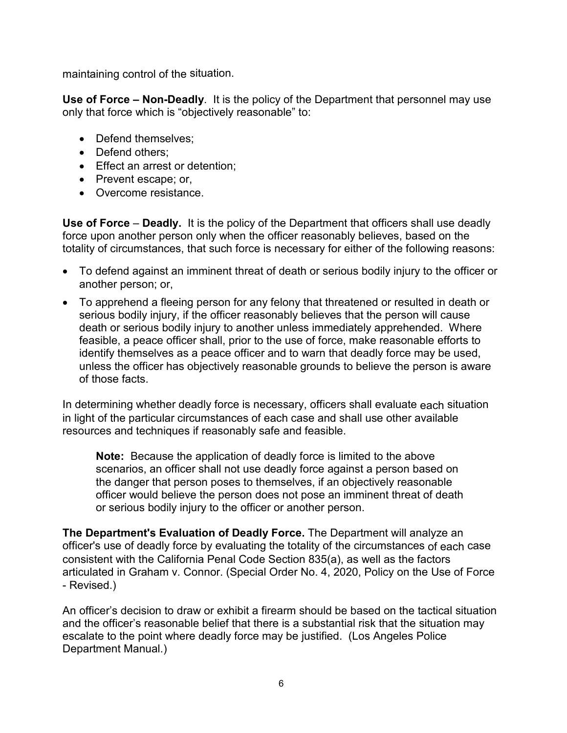maintaining control of the situation.

**Use of Force – Non-Deadly**. It is the policy of the Department that personnel may use only that force which is "objectively reasonable" to:

- Defend themselves:
- Defend others;
- Effect an arrest or detention;
- Prevent escape; or,
- Overcome resistance.

**Use of Force** – **Deadly.** It is the policy of the Department that officers shall use deadly force upon another person only when the officer reasonably believes, based on the totality of circumstances, that such force is necessary for either of the following reasons:

- To defend against an imminent threat of death or serious bodily injury to the officer or another person; or,
- To apprehend a fleeing person for any felony that threatened or resulted in death or serious bodily injury, if the officer reasonably believes that the person will cause death or serious bodily injury to another unless immediately apprehended. Where feasible, a peace officer shall, prior to the use of force, make reasonable efforts to identify themselves as a peace officer and to warn that deadly force may be used, unless the officer has objectively reasonable grounds to believe the person is aware of those facts.

In determining whether deadly force is necessary, officers shall evaluate each situation in light of the particular circumstances of each case and shall use other available resources and techniques if reasonably safe and feasible.

**Note:** Because the application of deadly force is limited to the above scenarios, an officer shall not use deadly force against a person based on the danger that person poses to themselves, if an objectively reasonable officer would believe the person does not pose an imminent threat of death or serious bodily injury to the officer or another person.

**The Department's Evaluation of Deadly Force.** The Department will analyze an officer's use of deadly force by evaluating the totality of the circumstances of each case consistent with the California Penal Code Section 835(a), as well as the factors articulated in Graham v. Connor. (Special Order No. 4, 2020, Policy on the Use of Force - Revised.)

An officer's decision to draw or exhibit a firearm should be based on the tactical situation and the officer's reasonable belief that there is a substantial risk that the situation may escalate to the point where deadly force may be justified. (Los Angeles Police Department Manual.)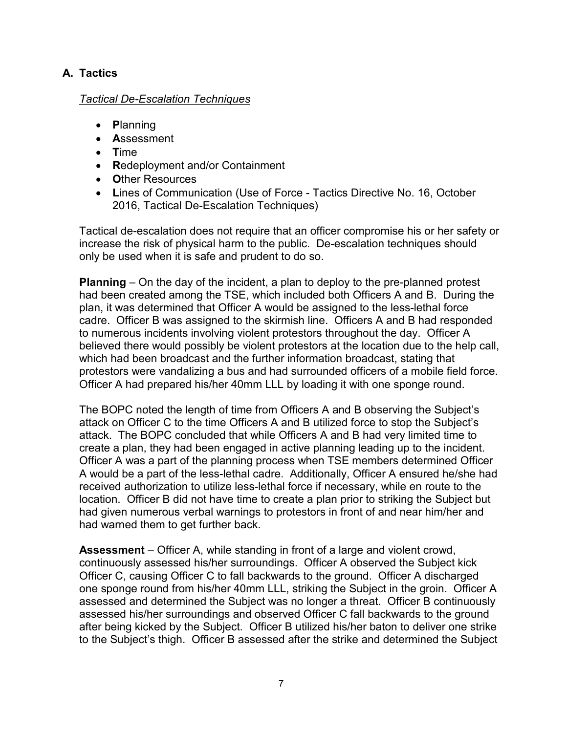# **A. Tactics**

## *Tactical De-Escalation Techniques*

- **P**lanning
- **A**ssessment
- **T**ime
- **R**edeployment and/or Containment
- **O**ther Resources
- **L**ines of Communication (Use of Force Tactics Directive No. 16, October 2016, Tactical De-Escalation Techniques)

Tactical de-escalation does not require that an officer compromise his or her safety or increase the risk of physical harm to the public. De-escalation techniques should only be used when it is safe and prudent to do so.

**Planning** – On the day of the incident, a plan to deploy to the pre-planned protest had been created among the TSE, which included both Officers A and B. During the plan, it was determined that Officer A would be assigned to the less-lethal force cadre. Officer B was assigned to the skirmish line. Officers A and B had responded to numerous incidents involving violent protestors throughout the day. Officer A believed there would possibly be violent protestors at the location due to the help call, which had been broadcast and the further information broadcast, stating that protestors were vandalizing a bus and had surrounded officers of a mobile field force. Officer A had prepared his/her 40mm LLL by loading it with one sponge round.

The BOPC noted the length of time from Officers A and B observing the Subject's attack on Officer C to the time Officers A and B utilized force to stop the Subject's attack. The BOPC concluded that while Officers A and B had very limited time to create a plan, they had been engaged in active planning leading up to the incident. Officer A was a part of the planning process when TSE members determined Officer A would be a part of the less-lethal cadre. Additionally, Officer A ensured he/she had received authorization to utilize less-lethal force if necessary, while en route to the location. Officer B did not have time to create a plan prior to striking the Subject but had given numerous verbal warnings to protestors in front of and near him/her and had warned them to get further back.

**Assessment** – Officer A, while standing in front of a large and violent crowd, continuously assessed his/her surroundings. Officer A observed the Subject kick Officer C, causing Officer C to fall backwards to the ground. Officer A discharged one sponge round from his/her 40mm LLL, striking the Subject in the groin. Officer A assessed and determined the Subject was no longer a threat. Officer B continuously assessed his/her surroundings and observed Officer C fall backwards to the ground after being kicked by the Subject. Officer B utilized his/her baton to deliver one strike to the Subject's thigh. Officer B assessed after the strike and determined the Subject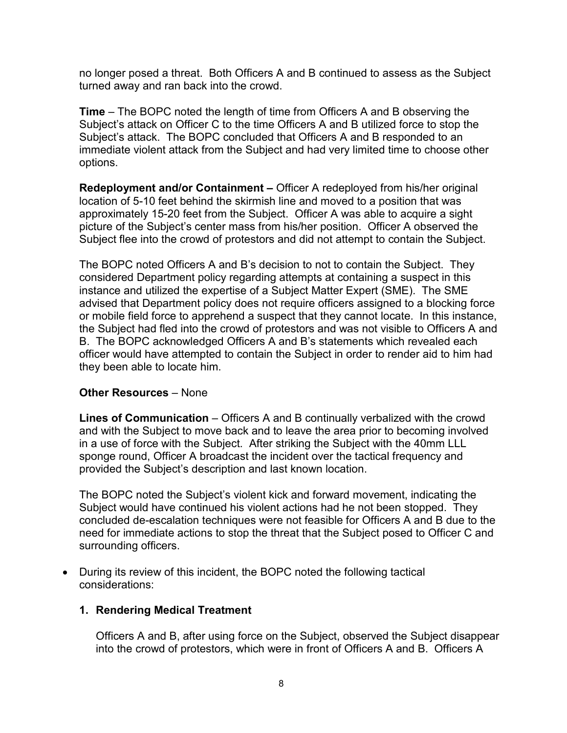no longer posed a threat. Both Officers A and B continued to assess as the Subject turned away and ran back into the crowd.

**Time** – The BOPC noted the length of time from Officers A and B observing the Subject's attack on Officer C to the time Officers A and B utilized force to stop the Subject's attack. The BOPC concluded that Officers A and B responded to an immediate violent attack from the Subject and had very limited time to choose other options.

**Redeployment and/or Containment –** Officer A redeployed from his/her original location of 5-10 feet behind the skirmish line and moved to a position that was approximately 15-20 feet from the Subject. Officer A was able to acquire a sight picture of the Subject's center mass from his/her position. Officer A observed the Subject flee into the crowd of protestors and did not attempt to contain the Subject.

The BOPC noted Officers A and B's decision to not to contain the Subject. They considered Department policy regarding attempts at containing a suspect in this instance and utilized the expertise of a Subject Matter Expert (SME). The SME advised that Department policy does not require officers assigned to a blocking force or mobile field force to apprehend a suspect that they cannot locate. In this instance, the Subject had fled into the crowd of protestors and was not visible to Officers A and B. The BOPC acknowledged Officers A and B's statements which revealed each officer would have attempted to contain the Subject in order to render aid to him had they been able to locate him.

### **Other Resources** – None

**Lines of Communication** – Officers A and B continually verbalized with the crowd and with the Subject to move back and to leave the area prior to becoming involved in a use of force with the Subject. After striking the Subject with the 40mm LLL sponge round, Officer A broadcast the incident over the tactical frequency and provided the Subject's description and last known location.

The BOPC noted the Subject's violent kick and forward movement, indicating the Subject would have continued his violent actions had he not been stopped. They concluded de-escalation techniques were not feasible for Officers A and B due to the need for immediate actions to stop the threat that the Subject posed to Officer C and surrounding officers.

• During its review of this incident, the BOPC noted the following tactical considerations:

## **1. Rendering Medical Treatment**

Officers A and B, after using force on the Subject, observed the Subject disappear into the crowd of protestors, which were in front of Officers A and B. Officers A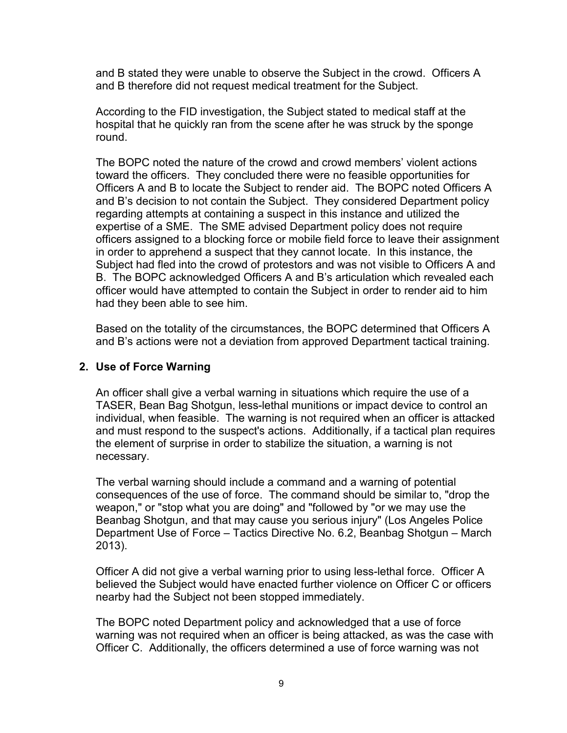and B stated they were unable to observe the Subject in the crowd. Officers A and B therefore did not request medical treatment for the Subject.

According to the FID investigation, the Subject stated to medical staff at the hospital that he quickly ran from the scene after he was struck by the sponge round.

The BOPC noted the nature of the crowd and crowd members' violent actions toward the officers. They concluded there were no feasible opportunities for Officers A and B to locate the Subject to render aid. The BOPC noted Officers A and B's decision to not contain the Subject. They considered Department policy regarding attempts at containing a suspect in this instance and utilized the expertise of a SME. The SME advised Department policy does not require officers assigned to a blocking force or mobile field force to leave their assignment in order to apprehend a suspect that they cannot locate. In this instance, the Subject had fled into the crowd of protestors and was not visible to Officers A and B. The BOPC acknowledged Officers A and B's articulation which revealed each officer would have attempted to contain the Subject in order to render aid to him had they been able to see him.

Based on the totality of the circumstances, the BOPC determined that Officers A and B's actions were not a deviation from approved Department tactical training.

### **2. Use of Force Warning**

An officer shall give a verbal warning in situations which require the use of a TASER, Bean Bag Shotgun, less-lethal munitions or impact device to control an individual, when feasible. The warning is not required when an officer is attacked and must respond to the suspect's actions. Additionally, if a tactical plan requires the element of surprise in order to stabilize the situation, a warning is not necessary.

The verbal warning should include a command and a warning of potential consequences of the use of force. The command should be similar to, "drop the weapon," or "stop what you are doing" and "followed by "or we may use the Beanbag Shotgun, and that may cause you serious injury" (Los Angeles Police Department Use of Force – Tactics Directive No. 6.2, Beanbag Shotgun – March 2013).

Officer A did not give a verbal warning prior to using less-lethal force. Officer A believed the Subject would have enacted further violence on Officer C or officers nearby had the Subject not been stopped immediately.

The BOPC noted Department policy and acknowledged that a use of force warning was not required when an officer is being attacked, as was the case with Officer C. Additionally, the officers determined a use of force warning was not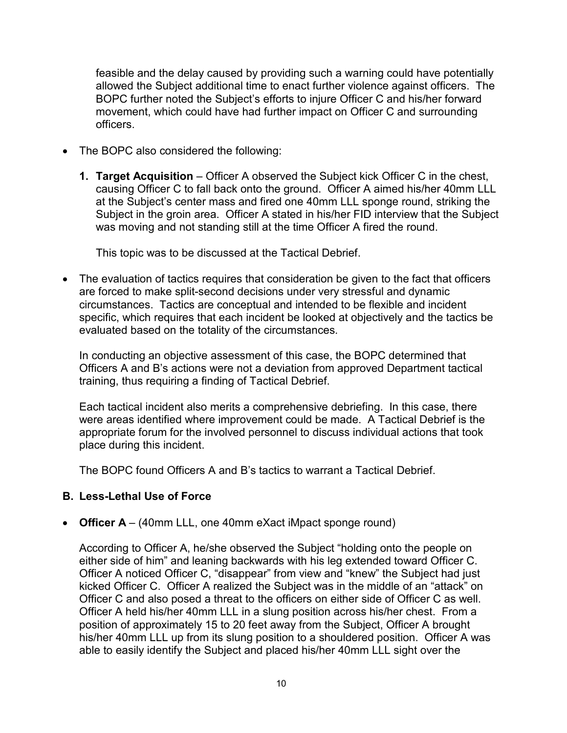feasible and the delay caused by providing such a warning could have potentially allowed the Subject additional time to enact further violence against officers. The BOPC further noted the Subject's efforts to injure Officer C and his/her forward movement, which could have had further impact on Officer C and surrounding officers.

- The BOPC also considered the following:
	- **1. Target Acquisition** Officer A observed the Subject kick Officer C in the chest, causing Officer C to fall back onto the ground. Officer A aimed his/her 40mm LLL at the Subject's center mass and fired one 40mm LLL sponge round, striking the Subject in the groin area. Officer A stated in his/her FID interview that the Subject was moving and not standing still at the time Officer A fired the round.

This topic was to be discussed at the Tactical Debrief.

• The evaluation of tactics requires that consideration be given to the fact that officers are forced to make split-second decisions under very stressful and dynamic circumstances. Tactics are conceptual and intended to be flexible and incident specific, which requires that each incident be looked at objectively and the tactics be evaluated based on the totality of the circumstances.

In conducting an objective assessment of this case, the BOPC determined that Officers A and B's actions were not a deviation from approved Department tactical training, thus requiring a finding of Tactical Debrief.

Each tactical incident also merits a comprehensive debriefing. In this case, there were areas identified where improvement could be made. A Tactical Debrief is the appropriate forum for the involved personnel to discuss individual actions that took place during this incident.

The BOPC found Officers A and B's tactics to warrant a Tactical Debrief.

### **B. Less-Lethal Use of Force**

• **Officer A** – (40mm LLL, one 40mm eXact iMpact sponge round)

According to Officer A, he/she observed the Subject "holding onto the people on either side of him" and leaning backwards with his leg extended toward Officer C. Officer A noticed Officer C, "disappear" from view and "knew" the Subject had just kicked Officer C. Officer A realized the Subject was in the middle of an "attack" on Officer C and also posed a threat to the officers on either side of Officer C as well. Officer A held his/her 40mm LLL in a slung position across his/her chest. From a position of approximately 15 to 20 feet away from the Subject, Officer A brought his/her 40mm LLL up from its slung position to a shouldered position. Officer A was able to easily identify the Subject and placed his/her 40mm LLL sight over the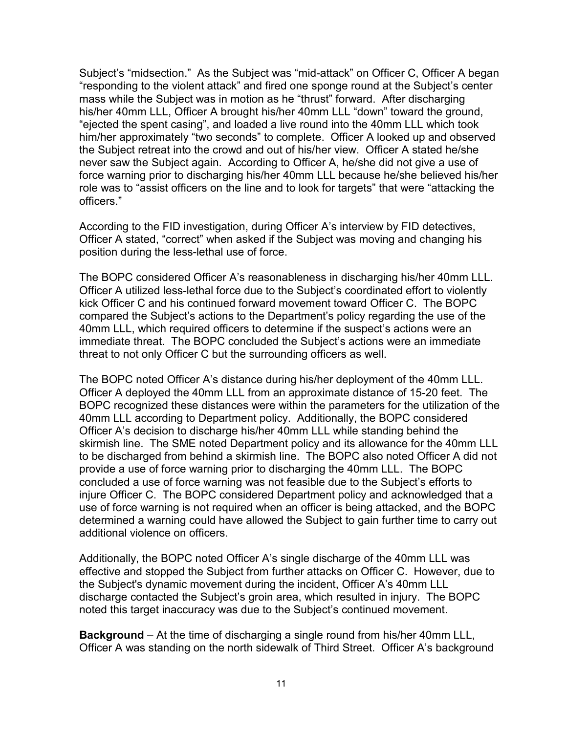Subject's "midsection." As the Subject was "mid-attack" on Officer C, Officer A began "responding to the violent attack" and fired one sponge round at the Subject's center mass while the Subject was in motion as he "thrust" forward. After discharging his/her 40mm LLL, Officer A brought his/her 40mm LLL "down" toward the ground, "ejected the spent casing", and loaded a live round into the 40mm LLL which took him/her approximately "two seconds" to complete. Officer A looked up and observed the Subject retreat into the crowd and out of his/her view. Officer A stated he/she never saw the Subject again. According to Officer A, he/she did not give a use of force warning prior to discharging his/her 40mm LLL because he/she believed his/her role was to "assist officers on the line and to look for targets" that were "attacking the officers."

According to the FID investigation, during Officer A's interview by FID detectives, Officer A stated, "correct" when asked if the Subject was moving and changing his position during the less-lethal use of force.

The BOPC considered Officer A's reasonableness in discharging his/her 40mm LLL. Officer A utilized less-lethal force due to the Subject's coordinated effort to violently kick Officer C and his continued forward movement toward Officer C. The BOPC compared the Subject's actions to the Department's policy regarding the use of the 40mm LLL, which required officers to determine if the suspect's actions were an immediate threat. The BOPC concluded the Subject's actions were an immediate threat to not only Officer C but the surrounding officers as well.

The BOPC noted Officer A's distance during his/her deployment of the 40mm LLL. Officer A deployed the 40mm LLL from an approximate distance of 15-20 feet. The BOPC recognized these distances were within the parameters for the utilization of the 40mm LLL according to Department policy. Additionally, the BOPC considered Officer A's decision to discharge his/her 40mm LLL while standing behind the skirmish line. The SME noted Department policy and its allowance for the 40mm LLL to be discharged from behind a skirmish line. The BOPC also noted Officer A did not provide a use of force warning prior to discharging the 40mm LLL. The BOPC concluded a use of force warning was not feasible due to the Subject's efforts to injure Officer C. The BOPC considered Department policy and acknowledged that a use of force warning is not required when an officer is being attacked, and the BOPC determined a warning could have allowed the Subject to gain further time to carry out additional violence on officers.

Additionally, the BOPC noted Officer A's single discharge of the 40mm LLL was effective and stopped the Subject from further attacks on Officer C. However, due to the Subject's dynamic movement during the incident, Officer A's 40mm LLL discharge contacted the Subject's groin area, which resulted in injury. The BOPC noted this target inaccuracy was due to the Subject's continued movement.

**Background** – At the time of discharging a single round from his/her 40mm LLL, Officer A was standing on the north sidewalk of Third Street. Officer A's background